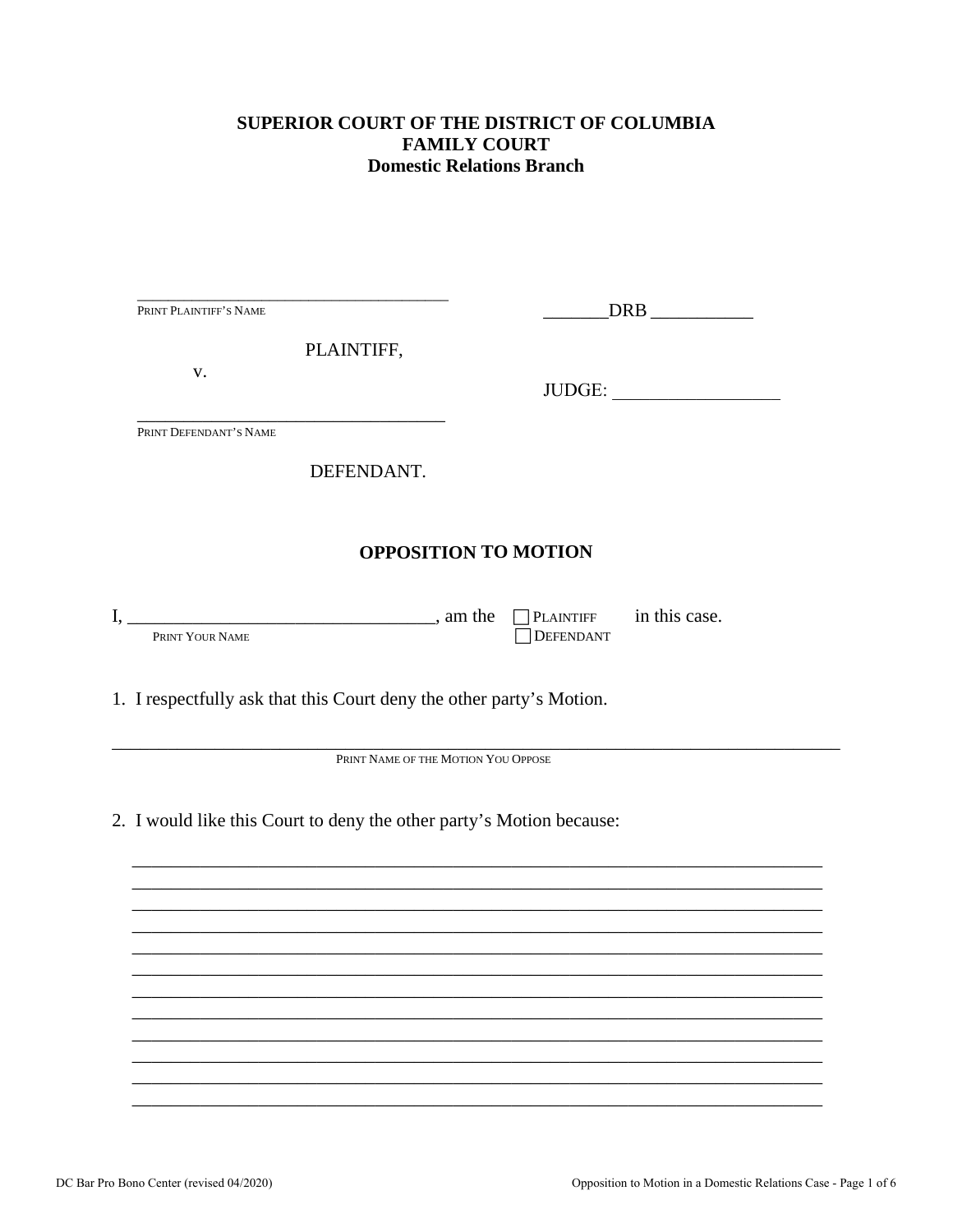### SUPERIOR COURT OF THE DISTRICT OF COLUMBIA **FAMILY COURT Domestic Relations Branch**

|      | PRINT PLAINTIFF'S NAME                                                                                                                                                                                                                                  |                                                                                   |  |
|------|---------------------------------------------------------------------------------------------------------------------------------------------------------------------------------------------------------------------------------------------------------|-----------------------------------------------------------------------------------|--|
|      | PLAINTIFF,                                                                                                                                                                                                                                              |                                                                                   |  |
|      | V.                                                                                                                                                                                                                                                      | JUDGE:                                                                            |  |
|      | PRINT DEFENDANT'S NAME                                                                                                                                                                                                                                  |                                                                                   |  |
|      | DEFENDANT.                                                                                                                                                                                                                                              |                                                                                   |  |
|      |                                                                                                                                                                                                                                                         | <b>OPPOSITION TO MOTION</b>                                                       |  |
| I, _ | <u>and the same contract of the same contract of the same contract of the same contract of the same contract of the same contract of the same contract of the same contract of the same contract of the same contract of the sam</u><br>PRINT YOUR NAME | $\Box$ PLAINTIFF in this case.<br>DEFENDANT                                       |  |
|      | 1. I respectfully ask that this Court deny the other party's Motion.                                                                                                                                                                                    |                                                                                   |  |
|      |                                                                                                                                                                                                                                                         | PRINT NAME OF THE MOTION YOU OPPOSE                                               |  |
|      | 2. I would like this Court to deny the other party's Motion because:                                                                                                                                                                                    |                                                                                   |  |
|      |                                                                                                                                                                                                                                                         |                                                                                   |  |
|      |                                                                                                                                                                                                                                                         |                                                                                   |  |
|      |                                                                                                                                                                                                                                                         | ,我们也不能在这里的时候,我们也不能在这里的时候,我们也不能会在这里的时候,我们也不能会在这里的时候,我们也不能会在这里的时候,我们也不能会在这里的时候,我们也不 |  |
|      |                                                                                                                                                                                                                                                         |                                                                                   |  |
|      |                                                                                                                                                                                                                                                         |                                                                                   |  |
|      |                                                                                                                                                                                                                                                         |                                                                                   |  |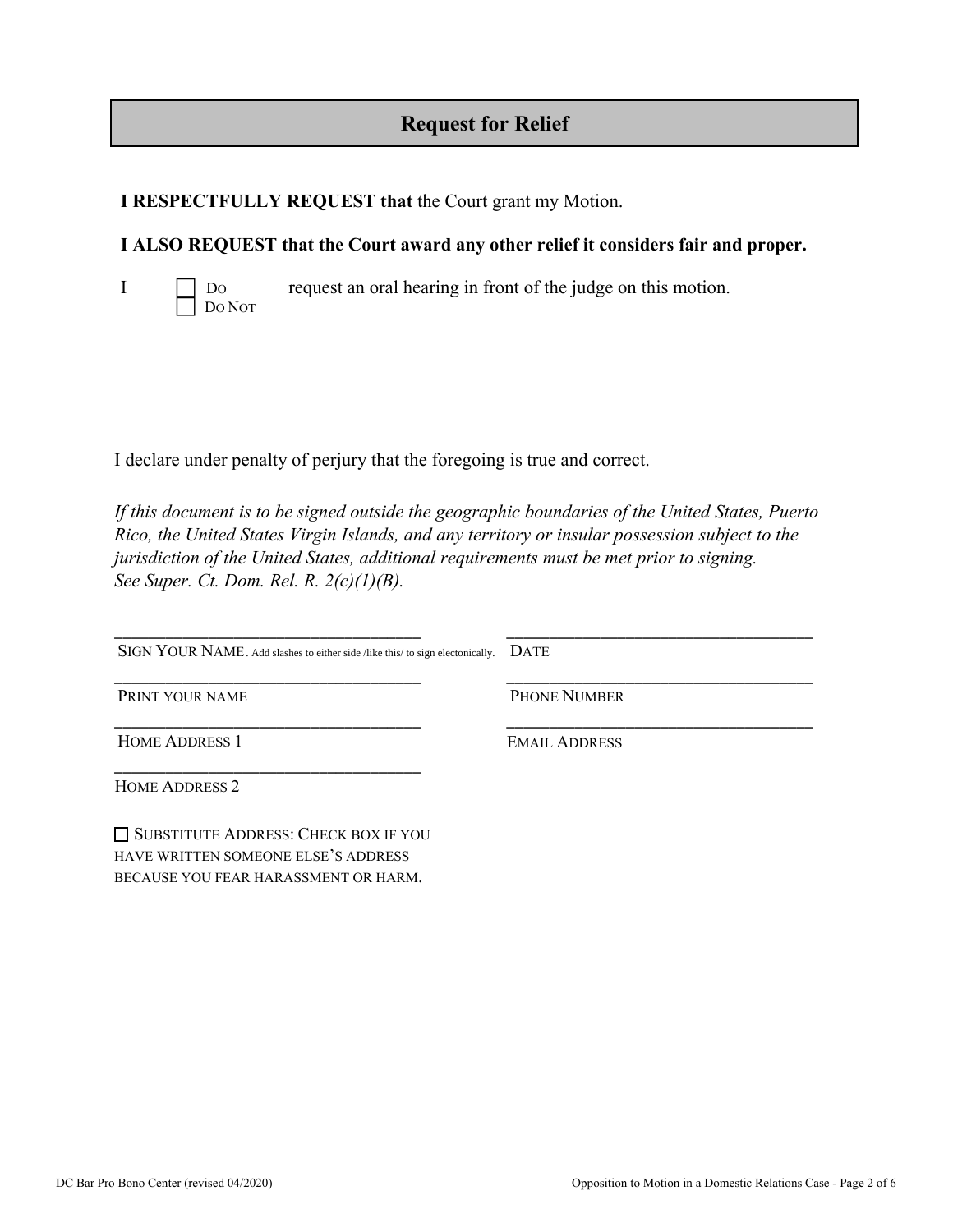# **Request for Relief**

### **I RESPECTFULLY REQUEST that** the Court grant my Motion.

### **I ALSO REQUEST that the Court award any other relief it considers fair and proper.**

I DO request an oral hearing in front of the judge on this motion. DO NOT

I declare under penalty of perjury that the foregoing is true and correct.

*If this document is to be signed outside the geographic boundaries of the United States, Puerto Rico, the United States Virgin Islands, and any territory or insular possession subject to the jurisdiction of the United States, additional requirements must be met prior to signing. See Super. Ct. Dom. Rel. R. 2(c)(1)(B).* 

\_\_\_\_\_\_\_\_\_\_\_\_\_\_\_\_\_\_\_\_\_\_\_\_\_\_\_\_\_\_\_\_\_\_\_\_ SIGN YOUR NAME. Add slashes to either side /like this/ to sign electonically. DATE \_\_\_\_\_\_\_\_\_\_\_\_\_\_\_\_\_\_\_\_\_\_\_\_\_\_\_\_\_\_\_\_\_\_\_\_ PRINT YOUR NAME \_\_\_\_\_\_\_\_\_\_\_\_\_\_\_\_\_\_\_\_\_\_\_\_\_\_\_\_\_\_\_\_\_\_\_\_ HOME ADDRESS 1 \_\_\_\_\_\_\_\_\_\_\_\_\_\_\_\_\_\_\_\_\_\_\_\_\_\_\_\_\_\_\_\_\_\_\_\_ \_\_\_\_\_\_\_\_\_\_\_\_\_\_\_\_\_\_\_\_\_\_\_\_\_\_\_\_\_\_\_\_\_\_\_\_ \_\_\_\_\_\_\_\_\_\_\_\_\_\_\_\_\_\_\_\_\_\_\_\_\_\_\_\_\_\_\_\_\_\_\_\_ PHONE NUMBER \_\_\_\_\_\_\_\_\_\_\_\_\_\_\_\_\_\_\_\_\_\_\_\_\_\_\_\_\_\_\_\_\_\_\_\_ EMAIL ADDRESS

HOME ADDRESS 2

SUBSTITUTE ADDRESS: CHECK BOX IF YOU HAVE WRITTEN SOMEONE ELSE'S ADDRESS BECAUSE YOU FEAR HARASSMENT OR HARM.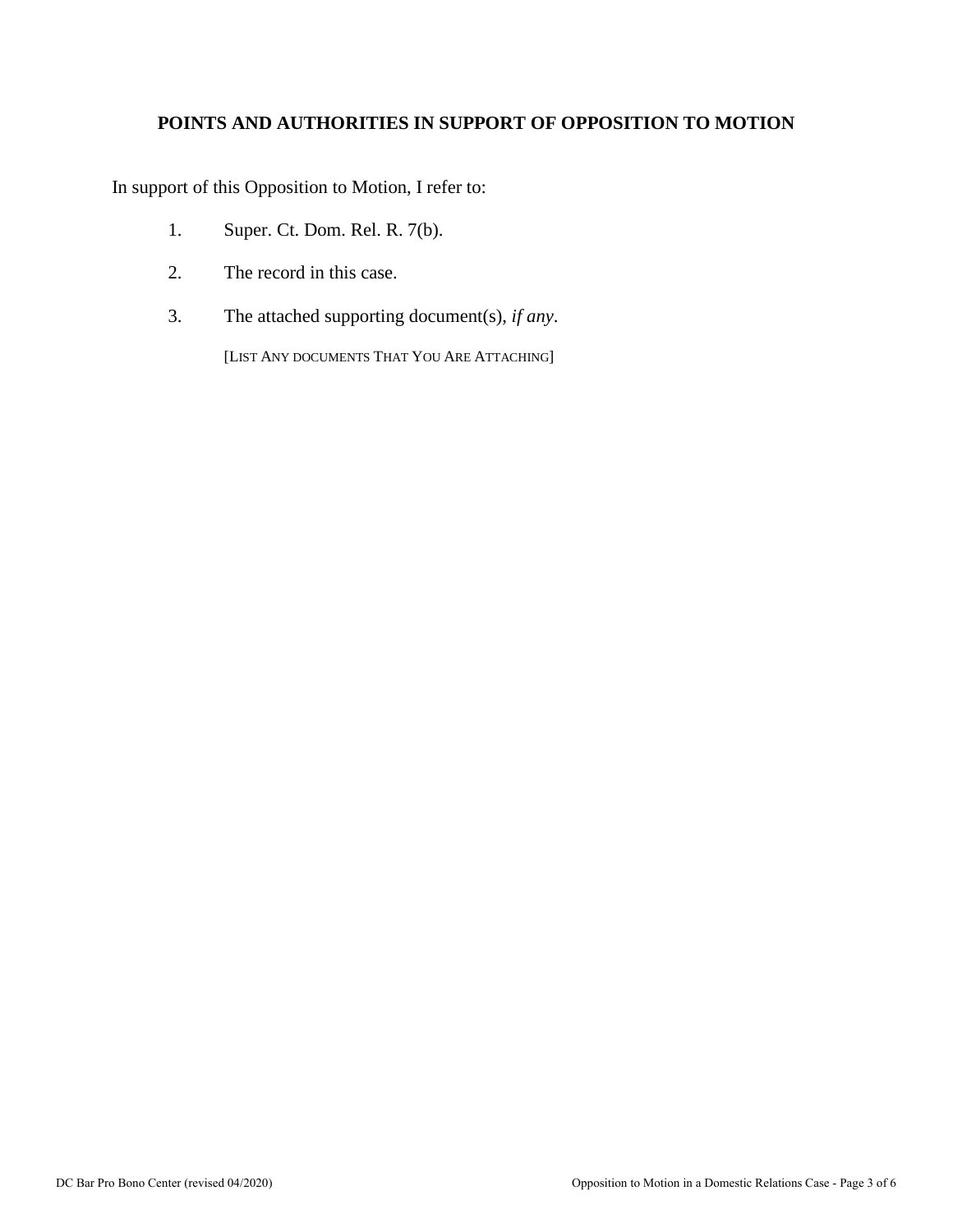## **POINTS AND AUTHORITIES IN SUPPORT OF OPPOSITION TO MOTION**

In support of this Opposition to Motion, I refer to:

- 1. Super. Ct. Dom. Rel. R. 7(b).
- 2. The record in this case.
- 3. The attached supporting document(s), *if any*.

[LIST ANY DOCUMENTS THAT YOU ARE ATTACHING]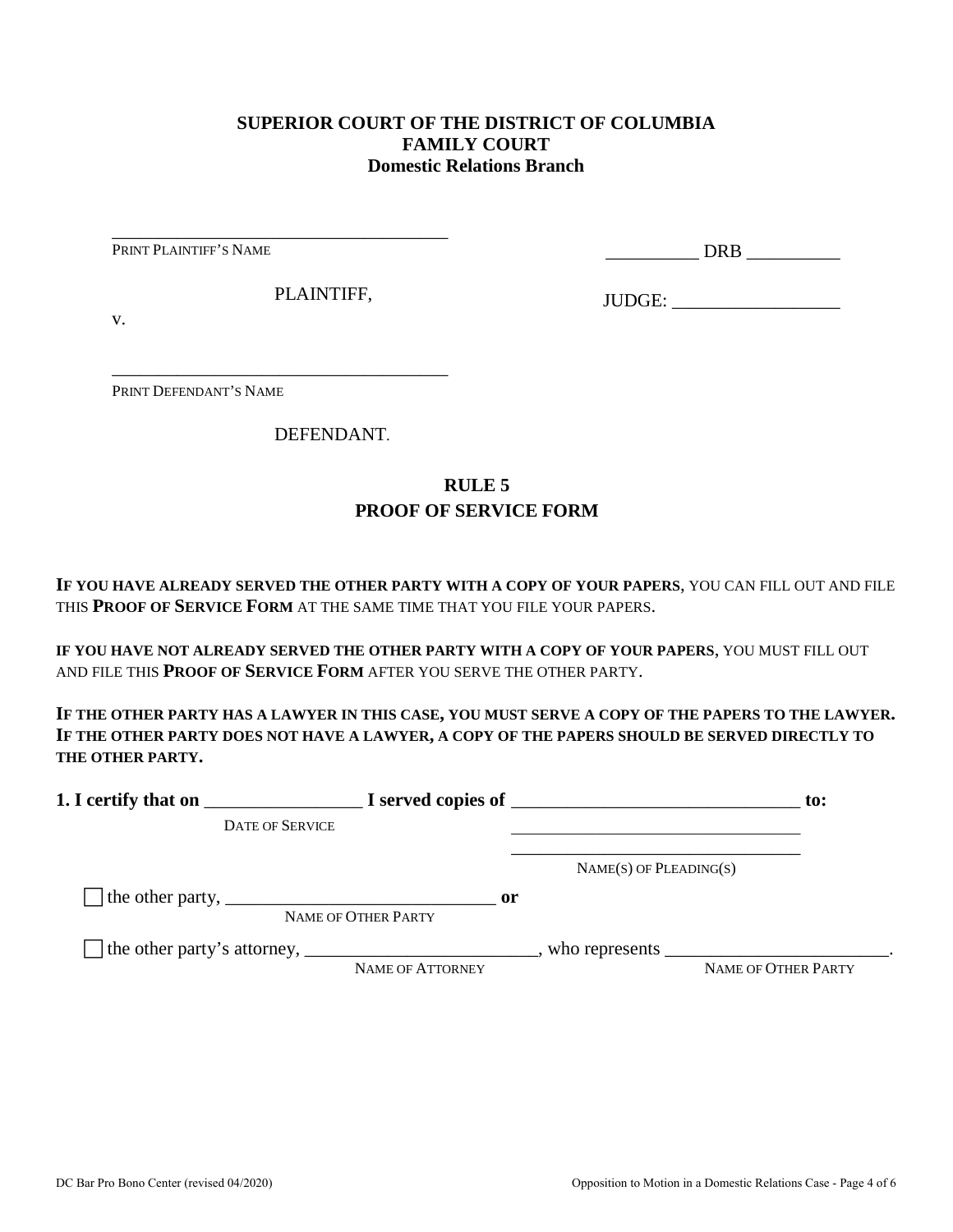#### **SUPERIOR COURT OF THE DISTRICT OF COLUMBIA FAMILY COURT Domestic Relations Branch**

PRINT PLAINTIFF'S NAME

\_\_\_\_\_\_\_\_\_\_ DRB \_\_\_\_\_\_\_\_\_\_

PLAINTIFF,

\_\_\_\_\_\_\_\_\_\_\_\_\_\_\_\_\_\_\_\_\_\_\_\_\_\_\_\_\_\_\_\_\_\_\_\_

\_\_\_\_\_\_\_\_\_\_\_\_\_\_\_\_\_\_\_\_\_\_\_\_\_\_\_\_\_\_\_\_\_\_\_\_

JUDGE: \_\_\_\_\_\_\_\_\_\_\_\_\_\_\_\_\_\_

v.

PRINT DEFENDANT'S NAME

DEFENDANT.

### **RULE 5 PROOF OF SERVICE FORM**

**IF YOU HAVE ALREADY SERVED THE OTHER PARTY WITH A COPY OF YOUR PAPERS**, YOU CAN FILL OUT AND FILE THIS **PROOF OF SERVICE FORM** AT THE SAME TIME THAT YOU FILE YOUR PAPERS.

**IF YOU HAVE NOT ALREADY SERVED THE OTHER PARTY WITH A COPY OF YOUR PAPERS**, YOU MUST FILL OUT AND FILE THIS **PROOF OF SERVICE FORM** AFTER YOU SERVE THE OTHER PARTY.

**IF THE OTHER PARTY HAS A LAWYER IN THIS CASE, YOU MUST SERVE A COPY OF THE PAPERS TO THE LAWYER. IF THE OTHER PARTY DOES NOT HAVE A LAWYER, A COPY OF THE PAPERS SHOULD BE SERVED DIRECTLY TO THE OTHER PARTY.** 

| 1. I certify that on                                                                                      |                                      | $\blacksquare$ $\blacksquare$ I served copies of $\blacksquare$ | $\mathbf{to}$ :     |
|-----------------------------------------------------------------------------------------------------------|--------------------------------------|-----------------------------------------------------------------|---------------------|
| <b>DATE OF SERVICE</b>                                                                                    |                                      |                                                                 |                     |
|                                                                                                           |                                      | $NAME(S)$ OF PLEADING(S)                                        |                     |
| The other party, $\frac{1}{\sqrt{1-\frac{1}{2}}}\left\lfloor \frac{1}{2}\right\rfloor$                    | $\mathbf{or}$<br>NAME OF OTHER PARTY |                                                                 |                     |
| The other party's attorney, _______________________________, who represents ____________________________. | NAME OF ATTORNEY                     |                                                                 | NAME OF OTHER PARTY |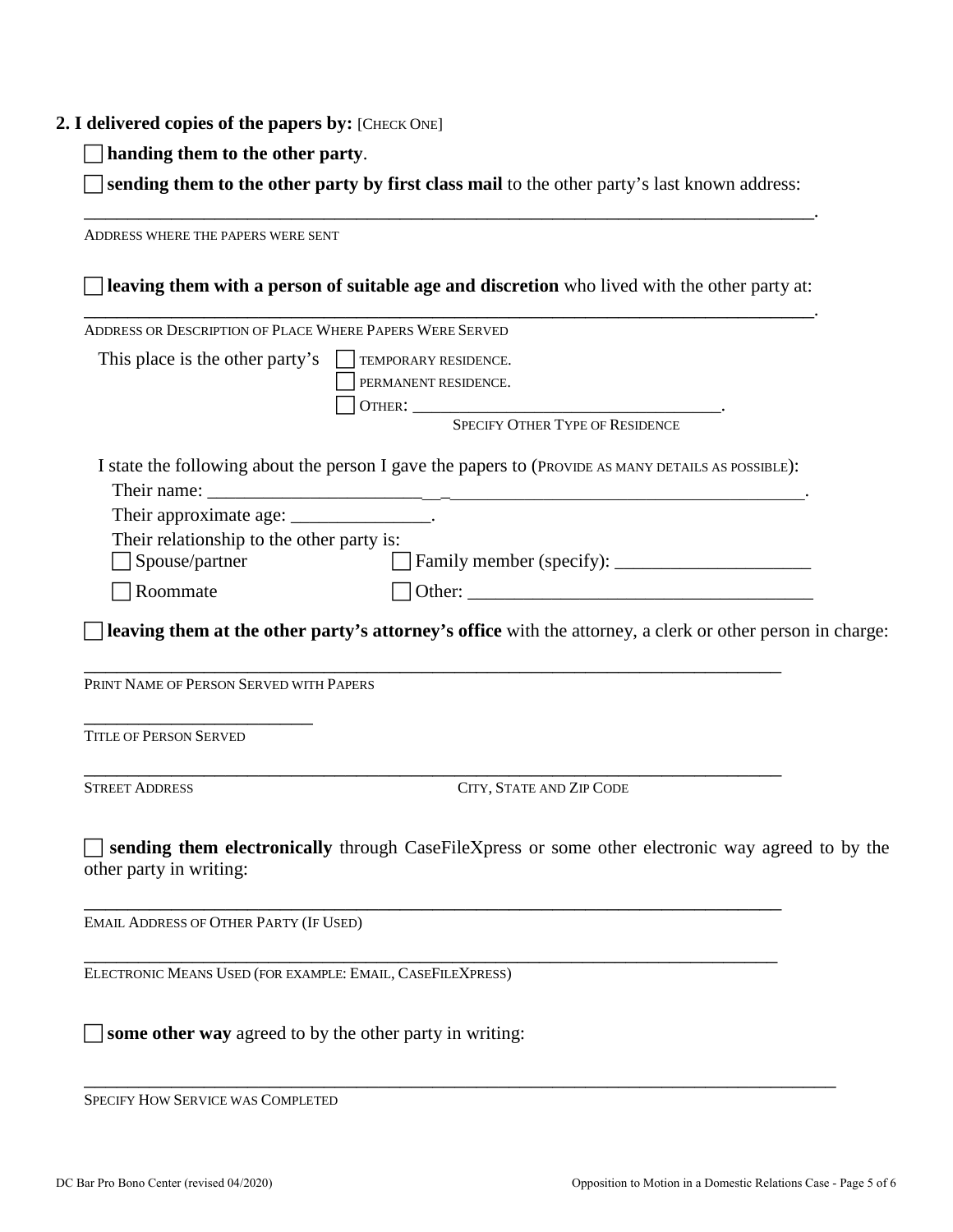#### **2. I delivered copies of the papers by:** [CHECK ONE]

**handing them to the other party**.

 **sending them to the other party by first class mail** to the other party's last known address: \_\_\_\_\_\_\_\_\_\_\_\_\_\_\_\_\_\_\_\_\_\_\_\_\_\_\_\_\_\_\_\_\_\_\_\_\_\_\_\_\_\_\_\_\_\_\_\_\_\_\_\_\_\_\_\_\_\_\_\_\_\_\_\_\_\_\_.

ADDRESS WHERE THE PAPERS WERE SENT **leaving them with a person of suitable age and discretion** who lived with the other party at: \_\_\_\_\_\_\_\_\_\_\_\_\_\_\_\_\_\_\_\_\_\_\_\_\_\_\_\_\_\_\_\_\_\_\_\_\_\_\_\_\_\_\_\_\_\_\_\_\_\_\_\_\_\_\_\_\_\_\_\_\_\_\_\_\_\_\_. ADDRESS OR DESCRIPTION OF PLACE WHERE PAPERS WERE SERVED This place is the other party's  $\Box$  TEMPORARY RESIDENCE. PERMANENT RESIDENCE. OTHER: \_\_\_\_\_\_\_\_\_\_\_\_\_\_\_\_\_\_\_\_\_\_\_\_\_\_\_\_\_\_\_\_\_. SPECIFY OTHER TYPE OF RESIDENCE I state the following about the person I gave the papers to (PROVIDE AS MANY DETAILS AS POSSIBLE): Their name: Their approximate age: \_\_\_\_\_\_\_\_\_\_\_\_\_\_\_\_\_. Their relationship to the other party is: Spouse/partner Family member (specify): \_\_\_\_\_\_\_\_\_\_\_\_\_\_\_\_\_\_\_\_\_  $\Box$  Roommate  $\Box$  Other: **leaving them at the other party's attorney's office** with the attorney, a clerk or other person in charge: \_\_\_\_\_\_\_\_\_\_\_\_\_\_\_\_\_\_\_\_\_\_\_\_\_\_\_\_\_\_\_\_\_\_\_\_\_\_\_\_\_\_\_\_\_\_\_\_\_\_\_\_\_\_\_\_\_\_\_\_\_\_\_\_ PRINT NAME OF PERSON SERVED WITH PAPERS \_\_\_\_\_\_\_\_\_\_\_\_\_\_\_\_\_\_\_\_\_ TITLE OF PERSON SERVED \_\_\_\_\_\_\_\_\_\_\_\_\_\_\_\_\_\_\_\_\_\_\_\_\_\_\_\_\_\_\_\_\_\_\_\_\_\_\_\_\_\_\_\_\_\_\_\_\_\_\_\_\_\_\_\_\_\_\_\_\_\_\_\_ STREET ADDRESS CITY, STATE AND ZIP CODE **sending them electronically** through CaseFileXpress or some other electronic way agreed to by the other party in writing: \_\_\_\_\_\_\_\_\_\_\_\_\_\_\_\_\_\_\_\_\_\_\_\_\_\_\_\_\_\_\_\_\_\_\_\_\_\_\_\_\_\_\_\_\_\_\_\_\_\_\_\_\_\_\_\_\_\_\_\_\_\_\_\_ EMAIL ADDRESS OF OTHER PARTY (IF USED) \_\_\_\_\_\_\_\_\_\_\_\_\_\_\_\_\_\_\_\_\_\_\_\_\_\_\_\_\_\_\_\_\_\_\_\_\_\_\_\_\_\_\_\_\_\_\_\_\_\_\_\_\_\_\_\_\_\_\_\_\_\_\_\_ ELECTRONIC MEANS USED (FOR EXAMPLE: EMAIL, CASEFILEXPRESS) **some other way** agreed to by the other party in writing:

\_\_\_\_\_\_\_\_\_\_\_\_\_\_\_\_\_\_\_\_\_\_\_\_\_\_\_\_\_\_\_\_\_\_\_\_\_\_\_\_\_\_\_\_\_\_\_\_\_\_\_\_\_\_\_\_\_\_\_\_\_\_\_\_\_\_\_\_\_ SPECIFY HOW SERVICE WAS COMPLETED